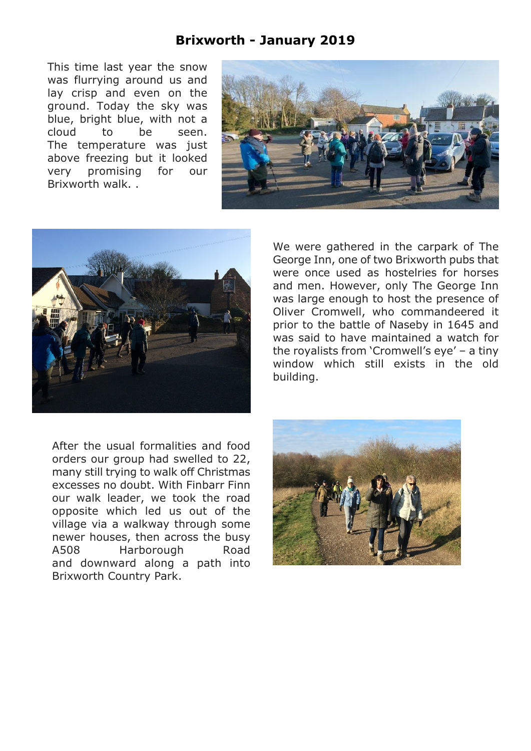## **Brixworth - January 2019**

This time last year the snow was flurrying around us and lay crisp and even on the ground. Today the sky was blue, bright blue, with not a cloud to be seen. The temperature was just above freezing but it looked very promising for our Brixworth walk. .





After the usual formalities and food orders our group had swelled to 22, many still trying to walk off Christmas excesses no doubt. With Finbarr Finn our walk leader, we took the road opposite which led us out of the village via a walkway through some newer houses, then across the busy A508 Harborough Road and downward along a path into Brixworth Country Park.

We were gathered in the carpark of The George Inn, one of two Brixworth pubs that were once used as hostelries for horses and men. However, only The George Inn was large enough to host the presence of Oliver Cromwell, who commandeered it prior to the battle of Naseby in 1645 and was said to have maintained a watch for the royalists from 'Cromwell's eye' – a tiny window which still exists in the old building.

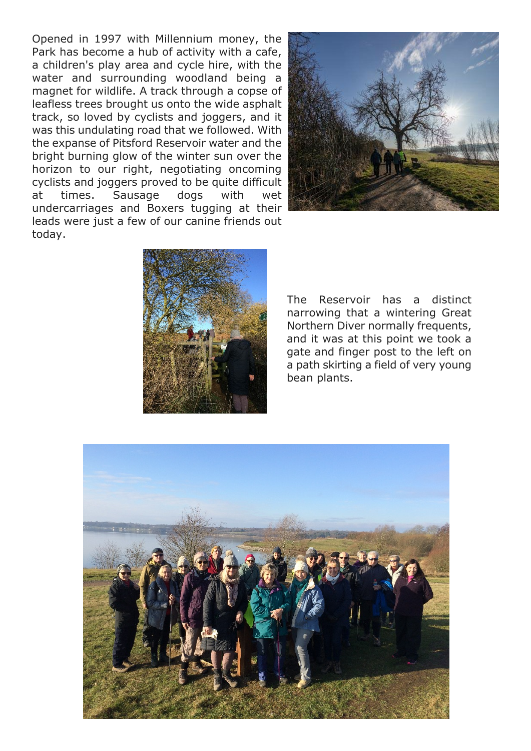Opened in 1997 with Millennium money, the Park has become a hub of activity with a cafe, a children's play area and cycle hire, with the water and surrounding woodland being a magnet for wildlife. A track through a copse of leafless trees brought us onto the wide asphalt track, so loved by cyclists and joggers, and it was this undulating road that we followed. With the expanse of Pitsford Reservoir water and the bright burning glow of the winter sun over the horizon to our right, negotiating oncoming cyclists and joggers proved to be quite difficult at times. Sausage dogs with wet undercarriages and Boxers tugging at their leads were just a few of our canine friends out today.





The Reservoir has a distinct narrowing that a wintering Great Northern Diver normally frequents, and it was at this point we took a gate and finger post to the left on a path skirting a field of very young bean plants.